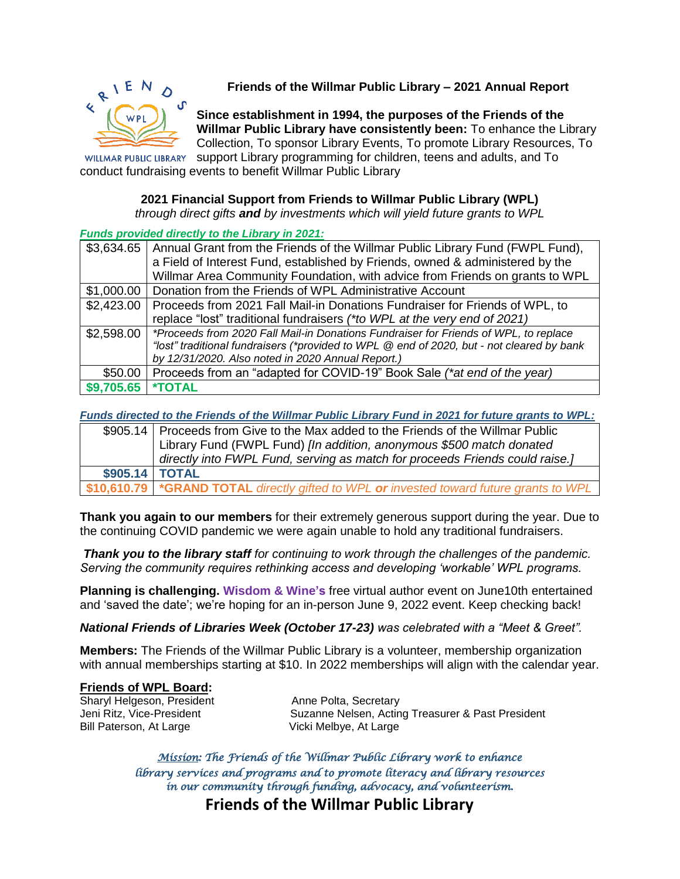

**Friends of the Willmar Public Library – 2021 Annual Report**

**Since establishment in 1994, the purposes of the Friends of the Willmar Public Library have consistently been:** To enhance the Library Collection, To sponsor Library Events, To promote Library Resources, To

WILLMAR PUBLIC LIBRARY support Library programming for children, teens and adults, and To conduct fundraising events to benefit Willmar Public Library

## **2021 Financial Support from Friends to Willmar Public Library (WPL)**

*through direct gifts and by investments which will yield future grants to WPL*

## *Funds provided directly to the Library in 2021:*

| \$3,634.65 | Annual Grant from the Friends of the Willmar Public Library Fund (FWPL Fund),             |  |  |
|------------|-------------------------------------------------------------------------------------------|--|--|
|            | a Field of Interest Fund, established by Friends, owned & administered by the             |  |  |
|            | Willmar Area Community Foundation, with advice from Friends on grants to WPL              |  |  |
| \$1,000.00 | Donation from the Friends of WPL Administrative Account                                   |  |  |
| \$2,423.00 | Proceeds from 2021 Fall Mail-in Donations Fundraiser for Friends of WPL, to               |  |  |
|            | replace "lost" traditional fundraisers (*to WPL at the very end of 2021)                  |  |  |
| \$2,598.00 | *Proceeds from 2020 Fall Mail-in Donations Fundraiser for Friends of WPL, to replace      |  |  |
|            | "lost" traditional fundraisers (*provided to WPL @ end of 2020, but - not cleared by bank |  |  |
|            | by 12/31/2020. Also noted in 2020 Annual Report.)                                         |  |  |
| \$50.00    | Proceeds from an "adapted for COVID-19" Book Sale (*at end of the year)                   |  |  |
| \$9,705.65 | <b>*TOTAL</b>                                                                             |  |  |

*Funds directed to the Friends of the Willmar Public Library Fund in 2021 for future grants to WPL:*

|                   | \$905.14   Proceeds from Give to the Max added to the Friends of the Willmar Public       |  |  |
|-------------------|-------------------------------------------------------------------------------------------|--|--|
|                   | Library Fund (FWPL Fund) [In addition, anonymous \$500 match donated                      |  |  |
|                   | directly into FWPL Fund, serving as match for proceeds Friends could raise.]              |  |  |
| $$905.14$   TOTAL |                                                                                           |  |  |
|                   | \$10,610.79   *GRAND TOTAL directly gifted to WPL or invested toward future grants to WPL |  |  |

**Thank you again to our members** for their extremely generous support during the year. Due to the continuing COVID pandemic we were again unable to hold any traditional fundraisers.

*Thank you to the library staff for continuing to work through the challenges of the pandemic. Serving the community requires rethinking access and developing 'workable' WPL programs.* 

**Planning is challenging. Wisdom & Wine's** free virtual author event on June10th entertained and 'saved the date'; we're hoping for an in-person June 9, 2022 event. Keep checking back!

*National Friends of Libraries Week (October 17-23) was celebrated with a "Meet & Greet".*

**Members:** The Friends of the Willmar Public Library is a volunteer, membership organization with annual memberships starting at \$10. In 2022 memberships will align with the calendar year.

## **Friends of WPL Board:**

Sharyl Helgeson, President **Anne Polta, Secretary**<br>
Jeni Ritz, Vice-President **Anne Suzanne Nelsen, Actin** Bill Paterson, At Large Vicki Melbye, At Large

Suzanne Nelsen, Acting Treasurer & Past President

*Mission: The Friends of the Willmar Public Library work to enhance library services and programs and to promote literacy and library resources in our community through funding, advocacy, and volunteerism.* 

**Friends of the Willmar Public Library**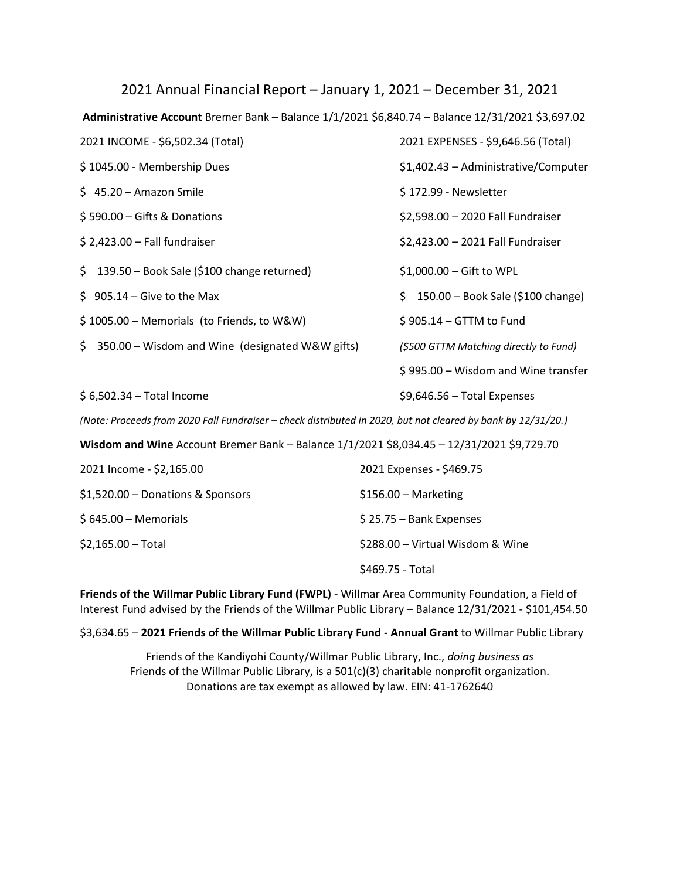| 2021 Annual Financial Report – January 1, 2021 – December 31, 2021                                           |                                          |  |  |  |
|--------------------------------------------------------------------------------------------------------------|------------------------------------------|--|--|--|
| Administrative Account Bremer Bank - Balance 1/1/2021 \$6,840.74 - Balance 12/31/2021 \$3,697.02             |                                          |  |  |  |
| 2021 INCOME - \$6,502.34 (Total)                                                                             | 2021 EXPENSES - \$9,646.56 (Total)       |  |  |  |
| \$1045.00 - Membership Dues                                                                                  | \$1,402.43 - Administrative/Computer     |  |  |  |
| $$45.20 - Amazon Smile$                                                                                      | \$172.99 - Newsletter                    |  |  |  |
| \$590.00 - Gifts & Donations                                                                                 | \$2,598.00 - 2020 Fall Fundraiser        |  |  |  |
| $$2,423.00 - Fall fundraise$                                                                                 | \$2,423.00 - 2021 Fall Fundraiser        |  |  |  |
| \$<br>139.50 - Book Sale (\$100 change returned)                                                             | \$1,000.00 - Gift to WPL                 |  |  |  |
| $$905.14 - Give to the Max$                                                                                  | 150.00 - Book Sale (\$100 change)<br>\$. |  |  |  |
| \$1005.00 - Memorials (to Friends, to W&W)                                                                   | \$905.14 - GTTM to Fund                  |  |  |  |
| 350.00 - Wisdom and Wine (designated W&W gifts)<br>\$.                                                       | (\$500 GTTM Matching directly to Fund)   |  |  |  |
|                                                                                                              | \$995.00 - Wisdom and Wine transfer      |  |  |  |
| \$6,502.34 - Total Income                                                                                    | $$9,646.56 - Total Express$              |  |  |  |
| (Note: Proceeds from 2020 Fall Fundraiser - check distributed in 2020, but not cleared by bank by 12/31/20.) |                                          |  |  |  |
| Wisdom and Wine Account Bremer Bank - Balance 1/1/2021 \$8,034.45 - 12/31/2021 \$9,729.70                    |                                          |  |  |  |
| 2021 Income - \$2,165.00                                                                                     | 2021 Expenses - \$469.75                 |  |  |  |
| \$1,520.00 - Donations & Sponsors                                                                            | \$156.00 - Marketing                     |  |  |  |
| $$645.00 - Memorials$                                                                                        | \$25.75 - Bank Expenses                  |  |  |  |
| $$2,165.00 - Total$                                                                                          | \$288.00 - Virtual Wisdom & Wine         |  |  |  |
|                                                                                                              | \$469.75 - Total                         |  |  |  |

**Friends of the Willmar Public Library Fund (FWPL)** - Willmar Area Community Foundation, a Field of Interest Fund advised by the Friends of the Willmar Public Library – Balance 12/31/2021 - \$101,454.50

\$3,634.65 – **2021 Friends of the Willmar Public Library Fund - Annual Grant** to Willmar Public Library

Friends of the Kandiyohi County/Willmar Public Library, Inc., *doing business as* Friends of the Willmar Public Library, is a 501(c)(3) charitable nonprofit organization. Donations are tax exempt as allowed by law. EIN: 41-1762640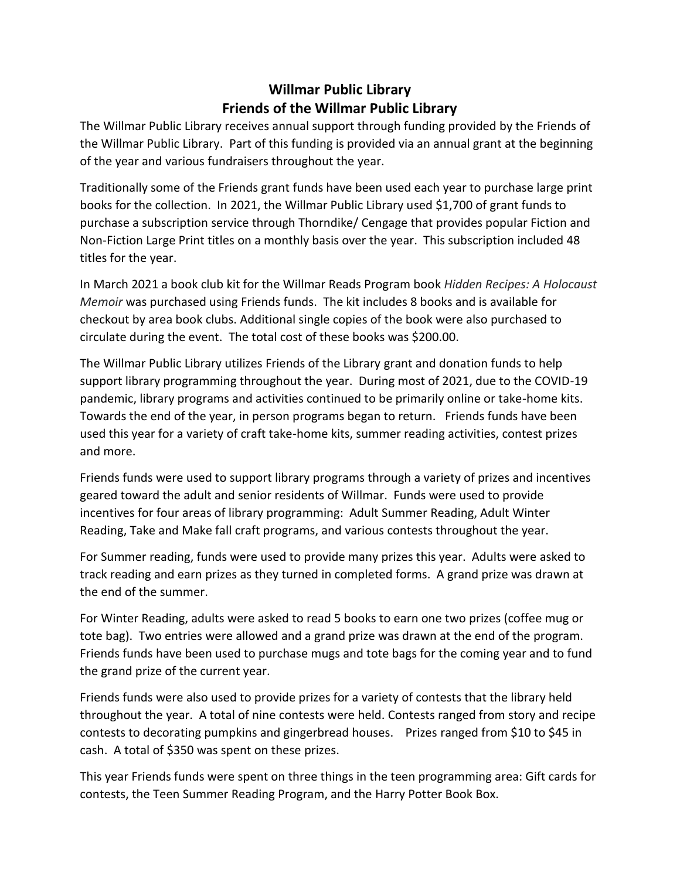## **Willmar Public Library Friends of the Willmar Public Library**

The Willmar Public Library receives annual support through funding provided by the Friends of the Willmar Public Library. Part of this funding is provided via an annual grant at the beginning of the year and various fundraisers throughout the year.

Traditionally some of the Friends grant funds have been used each year to purchase large print books for the collection. In 2021, the Willmar Public Library used \$1,700 of grant funds to purchase a subscription service through Thorndike/ Cengage that provides popular Fiction and Non-Fiction Large Print titles on a monthly basis over the year. This subscription included 48 titles for the year.

In March 2021 a book club kit for the Willmar Reads Program book *Hidden Recipes: A Holocaust Memoir* was purchased using Friends funds. The kit includes 8 books and is available for checkout by area book clubs. Additional single copies of the book were also purchased to circulate during the event. The total cost of these books was \$200.00.

The Willmar Public Library utilizes Friends of the Library grant and donation funds to help support library programming throughout the year. During most of 2021, due to the COVID-19 pandemic, library programs and activities continued to be primarily online or take-home kits. Towards the end of the year, in person programs began to return. Friends funds have been used this year for a variety of craft take-home kits, summer reading activities, contest prizes and more.

Friends funds were used to support library programs through a variety of prizes and incentives geared toward the adult and senior residents of Willmar. Funds were used to provide incentives for four areas of library programming: Adult Summer Reading, Adult Winter Reading, Take and Make fall craft programs, and various contests throughout the year.

For Summer reading, funds were used to provide many prizes this year. Adults were asked to track reading and earn prizes as they turned in completed forms. A grand prize was drawn at the end of the summer.

For Winter Reading, adults were asked to read 5 books to earn one two prizes (coffee mug or tote bag). Two entries were allowed and a grand prize was drawn at the end of the program. Friends funds have been used to purchase mugs and tote bags for the coming year and to fund the grand prize of the current year.

Friends funds were also used to provide prizes for a variety of contests that the library held throughout the year. A total of nine contests were held. Contests ranged from story and recipe contests to decorating pumpkins and gingerbread houses. Prizes ranged from \$10 to \$45 in cash. A total of \$350 was spent on these prizes.

This year Friends funds were spent on three things in the teen programming area: Gift cards for contests, the Teen Summer Reading Program, and the Harry Potter Book Box.